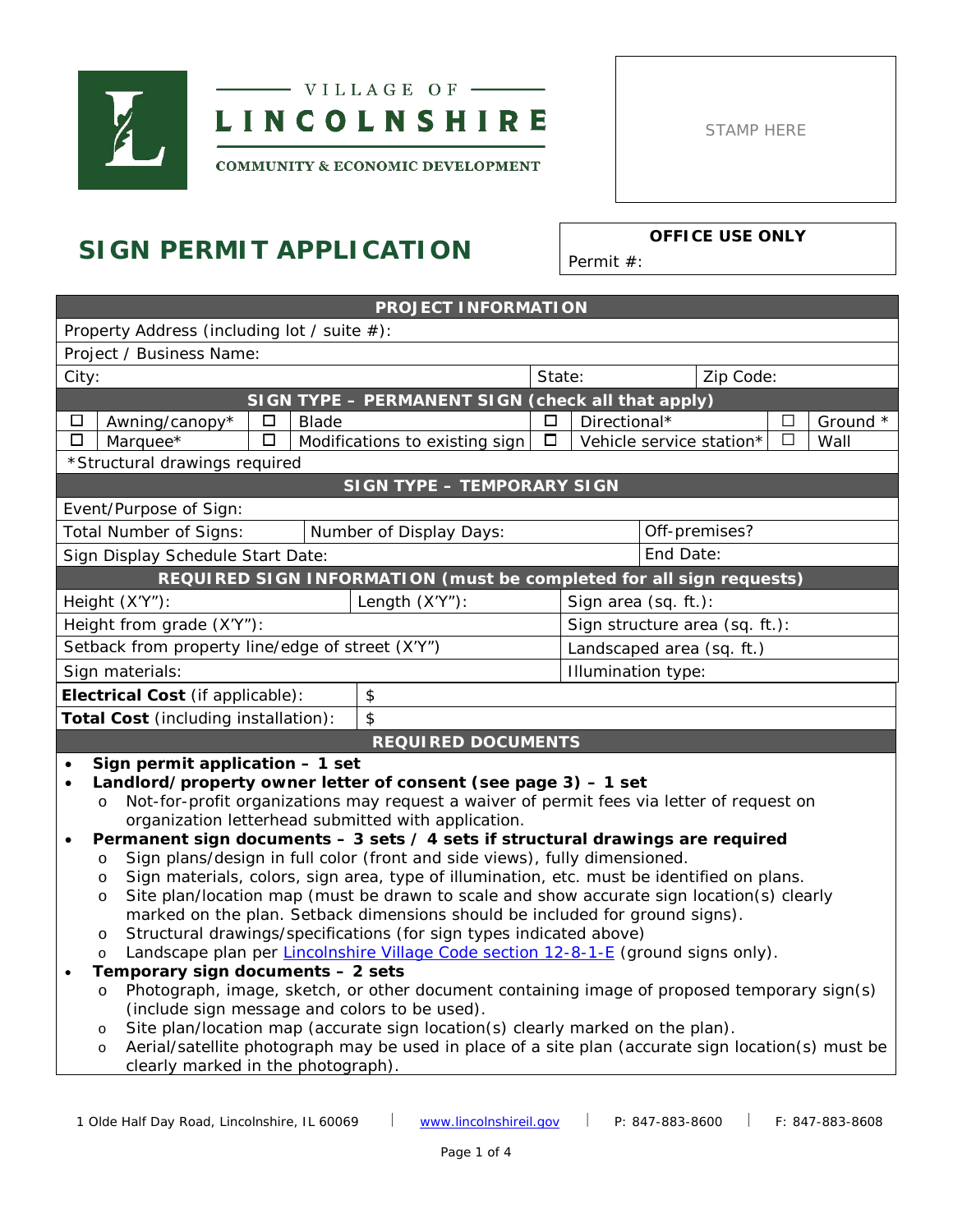



STAMP HERE

**COMMUNITY & ECONOMIC DEVELOPMENT** 

# **SIGN PERMIT APPLICATION OFFICE USE ONLY**

Permit #:

| <b>PROJECT INFORMATION</b>                                                                    |                                                                                                                                                                           |        |  |                                                                     |              |                                       |           |               |          |  |
|-----------------------------------------------------------------------------------------------|---------------------------------------------------------------------------------------------------------------------------------------------------------------------------|--------|--|---------------------------------------------------------------------|--------------|---------------------------------------|-----------|---------------|----------|--|
| Property Address (including lot / suite #):                                                   |                                                                                                                                                                           |        |  |                                                                     |              |                                       |           |               |          |  |
|                                                                                               | Project / Business Name:                                                                                                                                                  |        |  |                                                                     |              |                                       |           |               |          |  |
| City:                                                                                         |                                                                                                                                                                           |        |  |                                                                     | State:       | Zip Code:                             |           |               |          |  |
|                                                                                               |                                                                                                                                                                           |        |  | SIGN TYPE - PERMANENT SIGN (check all that apply)                   |              |                                       |           |               |          |  |
| Awning/canopy*<br>$\Box$<br>Blade<br>□                                                        |                                                                                                                                                                           |        |  | $\Box$                                                              | Directional* |                                       |           | $\Box$        | Ground * |  |
| □                                                                                             | Marquee*                                                                                                                                                                  | $\Box$ |  | Modifications to existing sign                                      | $\Box$       | Vehicle service station*<br>П<br>Wall |           |               |          |  |
|                                                                                               | *Structural drawings required                                                                                                                                             |        |  |                                                                     |              |                                       |           |               |          |  |
|                                                                                               |                                                                                                                                                                           |        |  | <b>SIGN TYPE - TEMPORARY SIGN</b>                                   |              |                                       |           |               |          |  |
|                                                                                               | Event/Purpose of Sign:                                                                                                                                                    |        |  |                                                                     |              |                                       |           |               |          |  |
|                                                                                               | <b>Total Number of Signs:</b>                                                                                                                                             |        |  | Number of Display Days:                                             |              |                                       |           | Off-premises? |          |  |
|                                                                                               | Sign Display Schedule Start Date:                                                                                                                                         |        |  |                                                                     |              |                                       | End Date: |               |          |  |
|                                                                                               |                                                                                                                                                                           |        |  | REQUIRED SIGN INFORMATION (must be completed for all sign requests) |              |                                       |           |               |          |  |
|                                                                                               | Height (X'Y"):                                                                                                                                                            |        |  | Length (X'Y"):                                                      |              | Sign area (sq. ft.):                  |           |               |          |  |
|                                                                                               | Height from grade (X'Y"):                                                                                                                                                 |        |  |                                                                     |              | Sign structure area (sq. ft.):        |           |               |          |  |
|                                                                                               | Setback from property line/edge of street (X'Y")                                                                                                                          |        |  |                                                                     |              | Landscaped area (sq. ft.)             |           |               |          |  |
|                                                                                               | Sign materials:                                                                                                                                                           |        |  |                                                                     |              | Illumination type:                    |           |               |          |  |
|                                                                                               | Electrical Cost (if applicable):                                                                                                                                          |        |  | \$                                                                  |              |                                       |           |               |          |  |
|                                                                                               | Total Cost (including installation):                                                                                                                                      |        |  | \$                                                                  |              |                                       |           |               |          |  |
|                                                                                               |                                                                                                                                                                           |        |  | <b>REQUIRED DOCUMENTS</b>                                           |              |                                       |           |               |          |  |
| $\bullet$                                                                                     | Sign permit application - 1 set                                                                                                                                           |        |  |                                                                     |              |                                       |           |               |          |  |
| $\bullet$                                                                                     |                                                                                                                                                                           |        |  | Landlord/property owner letter of consent (see page 3) - 1 set      |              |                                       |           |               |          |  |
|                                                                                               | Not-for-profit organizations may request a waiver of permit fees via letter of request on<br>$\circ$                                                                      |        |  |                                                                     |              |                                       |           |               |          |  |
|                                                                                               |                                                                                                                                                                           |        |  | organization letterhead submitted with application.                 |              |                                       |           |               |          |  |
|                                                                                               | Permanent sign documents $-3$ sets $/4$ sets if structural drawings are required<br>Sign plans/design in full color (front and side views), fully dimensioned.<br>$\circ$ |        |  |                                                                     |              |                                       |           |               |          |  |
|                                                                                               | Sign materials, colors, sign area, type of illumination, etc. must be identified on plans.<br>$\circ$                                                                     |        |  |                                                                     |              |                                       |           |               |          |  |
|                                                                                               | Site plan/location map (must be drawn to scale and show accurate sign location(s) clearly<br>$\circ$                                                                      |        |  |                                                                     |              |                                       |           |               |          |  |
|                                                                                               | marked on the plan. Setback dimensions should be included for ground signs).                                                                                              |        |  |                                                                     |              |                                       |           |               |          |  |
|                                                                                               | Structural drawings/specifications (for sign types indicated above)<br>$\circ$                                                                                            |        |  |                                                                     |              |                                       |           |               |          |  |
| Landscape plan per Lincolnshire Village Code section 12-8-1-E (ground signs only).<br>$\circ$ |                                                                                                                                                                           |        |  |                                                                     |              |                                       |           |               |          |  |
| Temporary sign documents - 2 sets                                                             |                                                                                                                                                                           |        |  |                                                                     |              |                                       |           |               |          |  |
|                                                                                               | Photograph, image, sketch, or other document containing image of proposed temporary sign(s)<br>$\circ$<br>(include sign message and colors to be used).                   |        |  |                                                                     |              |                                       |           |               |          |  |
|                                                                                               | Site plan/location map (accurate sign location(s) clearly marked on the plan).<br>$\circ$                                                                                 |        |  |                                                                     |              |                                       |           |               |          |  |
| $\circ$                                                                                       | Aerial/satellite photograph may be used in place of a site plan (accurate sign location(s) must be                                                                        |        |  |                                                                     |              |                                       |           |               |          |  |
|                                                                                               | clearly marked in the photograph).                                                                                                                                        |        |  |                                                                     |              |                                       |           |               |          |  |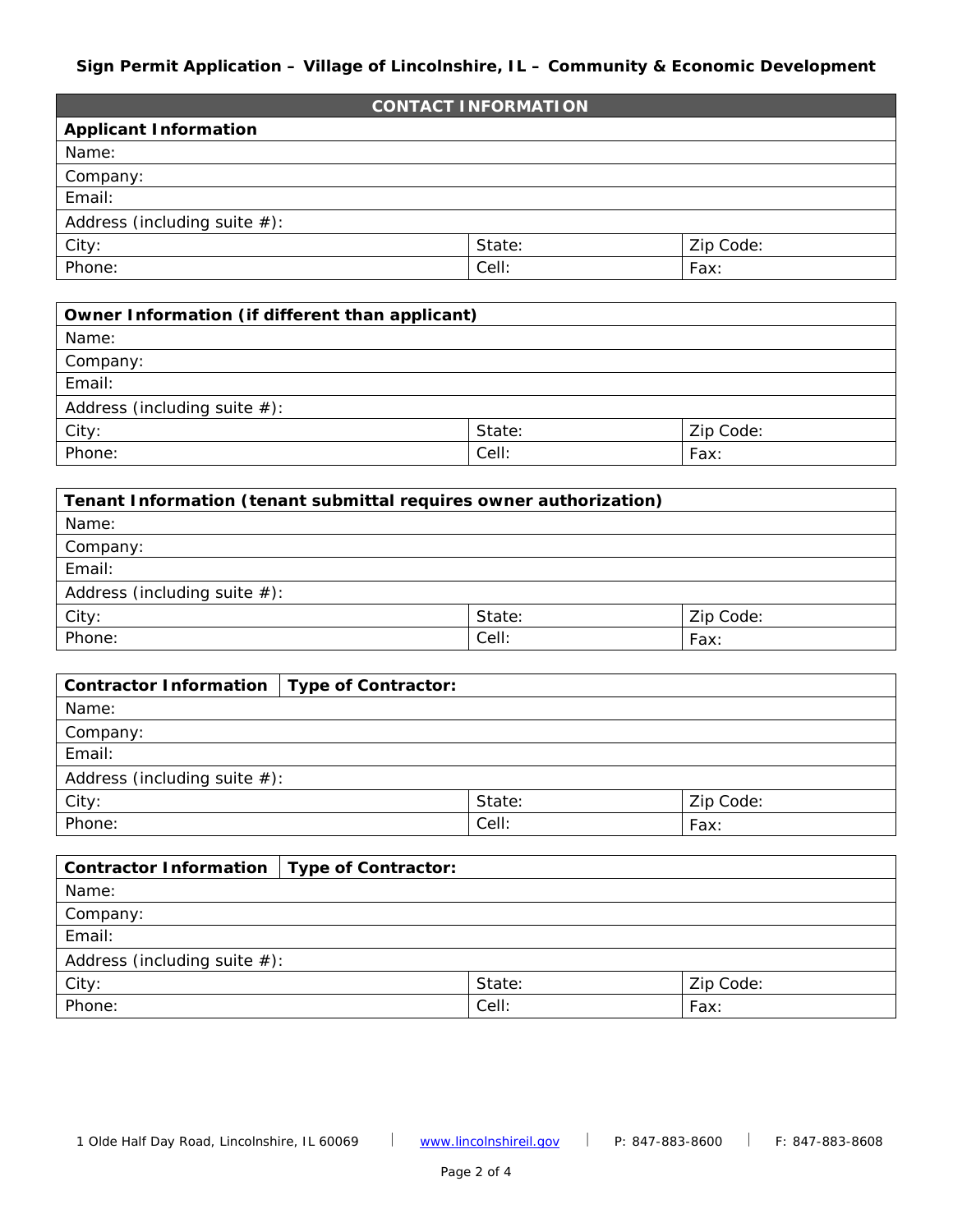## **Sign Permit Application – Village of Lincolnshire, IL – Community & Economic Development**

| <b>CONTACT INFORMATION</b>      |        |           |  |  |
|---------------------------------|--------|-----------|--|--|
| <b>Applicant Information</b>    |        |           |  |  |
| Name:                           |        |           |  |  |
| Company:                        |        |           |  |  |
| Email:                          |        |           |  |  |
| Address (including suite $#$ ): |        |           |  |  |
| City:                           | State: | Zip Code: |  |  |
| Phone:                          | Cell:  | Fax:      |  |  |

| Owner Information (if different than applicant) |       |      |  |  |
|-------------------------------------------------|-------|------|--|--|
| Name:                                           |       |      |  |  |
| Company:                                        |       |      |  |  |
| Email:                                          |       |      |  |  |
| Address (including suite $#$ ):                 |       |      |  |  |
| City:<br>State:<br>Zip Code:                    |       |      |  |  |
| Phone:                                          | Cell: | Fax: |  |  |

| Tenant Information (tenant submittal requires owner authorization) |       |      |  |  |
|--------------------------------------------------------------------|-------|------|--|--|
| Name:                                                              |       |      |  |  |
| Company:                                                           |       |      |  |  |
| Email:                                                             |       |      |  |  |
| Address (including suite $#$ ):                                    |       |      |  |  |
| City:<br>State:<br>Zip Code:                                       |       |      |  |  |
| Phone:                                                             | Cell: | Fax: |  |  |

| Contractor Information   Type of Contractor: |       |      |  |  |  |
|----------------------------------------------|-------|------|--|--|--|
| Name:                                        |       |      |  |  |  |
| Company:                                     |       |      |  |  |  |
| Email:                                       |       |      |  |  |  |
| Address (including suite $#$ ):              |       |      |  |  |  |
| City:<br>Zip Code:<br>State:                 |       |      |  |  |  |
| Phone:                                       | Cell: | Fax: |  |  |  |

| Contractor Information   Type of Contractor: |       |      |  |  |
|----------------------------------------------|-------|------|--|--|
| Name:                                        |       |      |  |  |
| Company:                                     |       |      |  |  |
| Email:                                       |       |      |  |  |
| Address (including suite $#$ ):              |       |      |  |  |
| City:<br>State:<br>Zip Code:                 |       |      |  |  |
| Phone:                                       | Cell: | Fax: |  |  |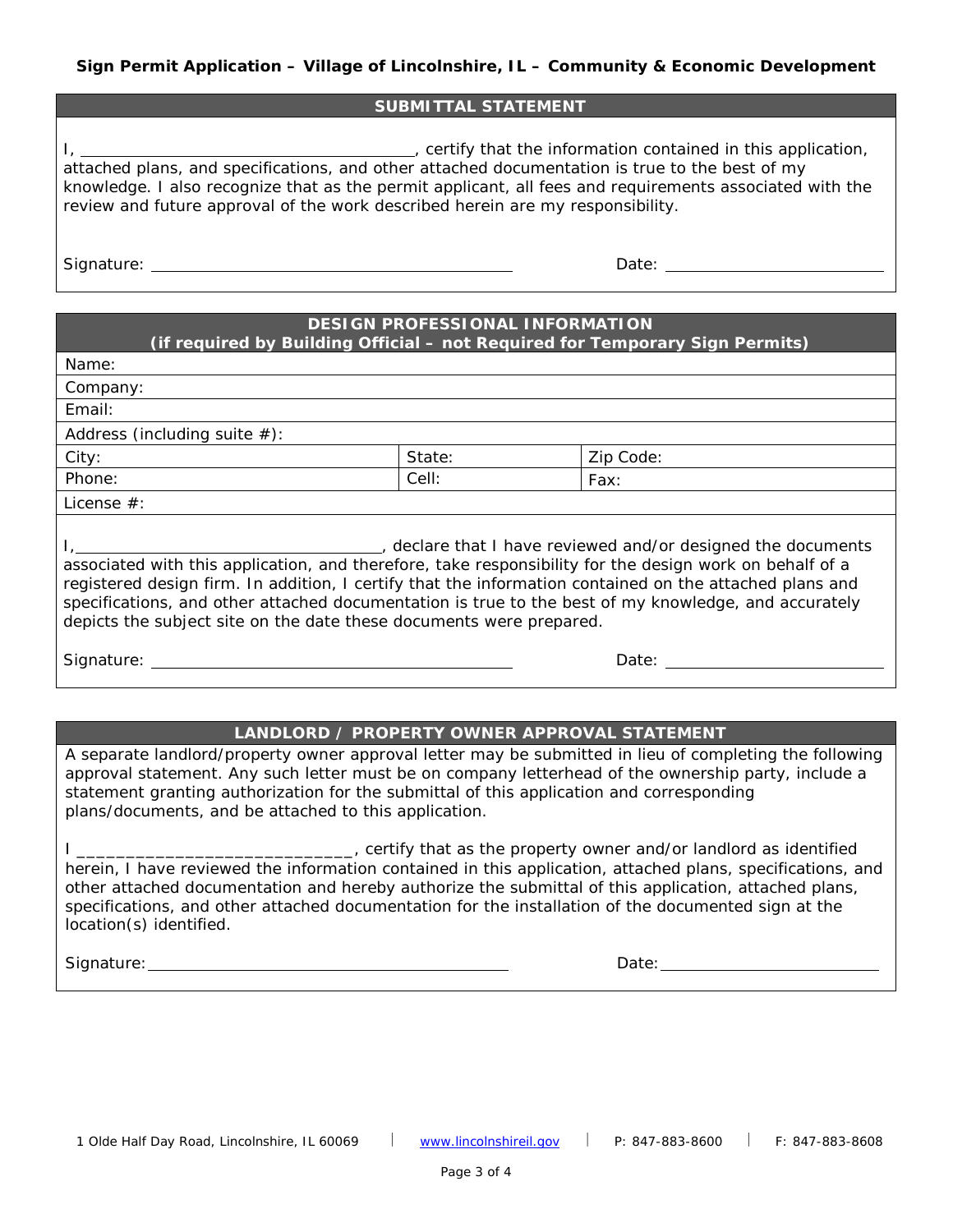#### **SUBMITTAL STATEMENT**

I, , certify that the information contained in this application, attached plans, and specifications, and other attached documentation is true to the best of my knowledge. I also recognize that as the permit applicant, all fees and requirements associated with the review and future approval of the work described herein are my responsibility.

Signature: Date:

# **DESIGN PROFESSIONAL INFORMATION**

**(if required by Building Official – not Required for Temporary Sign Permits)**

Name:

Company:

Email:

Address (including suite  $#$ ):

City:  $\begin{array}{c|c} | \text{State:} & | \text{Zip Code:} \end{array}$ Phone:  $|\text{Cell:}|\text{Cell:}|\text{Fax:}$ 

License #:

I, 1. 2010 1. [1] Allen Languard and and/or designed the documents of the documents of the documents associated with this application, and therefore, take responsibility for the design work on behalf of a registered design firm. In addition, I certify that the information contained on the attached plans and specifications, and other attached documentation is true to the best of my knowledge, and accurately depicts the subject site on the date these documents were prepared.

Signature: <u>Constantine Constantine Constantine Constantine Constantine Constantine Constantine Constantine Constantine Constantine Constantine Constantine Constantine Constantine Constantine Constantine Constantine Consta</u>

## **LANDLORD / PROPERTY OWNER APPROVAL STATEMENT**

A separate landlord/property owner approval letter may be submitted in lieu of completing the following approval statement. Any such letter must be on company letterhead of the ownership party, include a statement granting authorization for the submittal of this application and corresponding plans/documents, and be attached to this application.

I \_\_\_\_\_\_\_\_\_\_\_\_\_\_\_\_\_\_\_\_\_\_\_\_\_\_\_\_\_, certify that as the property owner and/or landlord as identified herein, I have reviewed the information contained in this application, attached plans, specifications, and other attached documentation and hereby authorize the submittal of this application, attached plans, specifications, and other attached documentation for the installation of the documented sign at the location(s) identified.

Signature: Date: Date: Date: Date: Date: Date: Date: Date: Date: Date: Date: Date: Date: Date: Date: Date: Date: Date: Date: Date: Date: Date: Date: Date: Date: Date: Date: Date: Date: Date: Date: Date: Date: Date: Date: D